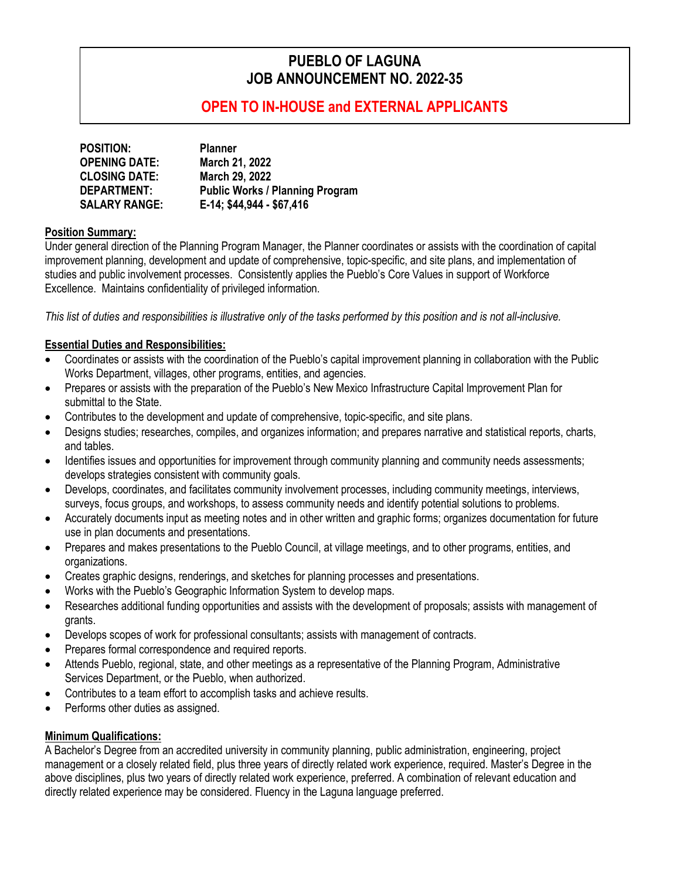# **PUEBLO OF LAGUNA JOB ANNOUNCEMENT NO. 2022-35**

# **OPEN TO IN-HOUSE and EXTERNAL APPLICANTS**

| <b>POSITION:</b>     | <b>Planner</b>                         |
|----------------------|----------------------------------------|
| <b>OPENING DATE:</b> | March 21, 2022                         |
| <b>CLOSING DATE:</b> | March 29, 2022                         |
| <b>DEPARTMENT:</b>   | <b>Public Works / Planning Program</b> |
| <b>SALARY RANGE:</b> | E-14; \$44,944 - \$67,416              |

#### **Position Summary:**

Under general direction of the Planning Program Manager, the Planner coordinates or assists with the coordination of capital improvement planning, development and update of comprehensive, topic-specific, and site plans, and implementation of studies and public involvement processes. Consistently applies the Pueblo's Core Values in support of Workforce Excellence. Maintains confidentiality of privileged information.

*This list of duties and responsibilities is illustrative only of the tasks performed by this position and is not all-inclusive.*

#### **Essential Duties and Responsibilities:**

- Coordinates or assists with the coordination of the Pueblo's capital improvement planning in collaboration with the Public Works Department, villages, other programs, entities, and agencies.
- Prepares or assists with the preparation of the Pueblo's New Mexico Infrastructure Capital Improvement Plan for submittal to the State.
- Contributes to the development and update of comprehensive, topic-specific, and site plans.
- Designs studies; researches, compiles, and organizes information; and prepares narrative and statistical reports, charts, and tables.
- Identifies issues and opportunities for improvement through community planning and community needs assessments; develops strategies consistent with community goals.
- Develops, coordinates, and facilitates community involvement processes, including community meetings, interviews, surveys, focus groups, and workshops, to assess community needs and identify potential solutions to problems.
- Accurately documents input as meeting notes and in other written and graphic forms; organizes documentation for future use in plan documents and presentations.
- Prepares and makes presentations to the Pueblo Council, at village meetings, and to other programs, entities, and organizations.
- Creates graphic designs, renderings, and sketches for planning processes and presentations.
- Works with the Pueblo's Geographic Information System to develop maps.
- Researches additional funding opportunities and assists with the development of proposals; assists with management of grants.
- Develops scopes of work for professional consultants; assists with management of contracts.
- Prepares formal correspondence and required reports.
- Attends Pueblo, regional, state, and other meetings as a representative of the Planning Program, Administrative Services Department, or the Pueblo, when authorized.
- Contributes to a team effort to accomplish tasks and achieve results.
- Performs other duties as assigned.

#### **Minimum Qualifications:**

A Bachelor's Degree from an accredited university in community planning, public administration, engineering, project management or a closely related field, plus three years of directly related work experience, required. Master's Degree in the above disciplines, plus two years of directly related work experience, preferred. A combination of relevant education and directly related experience may be considered. Fluency in the Laguna language preferred.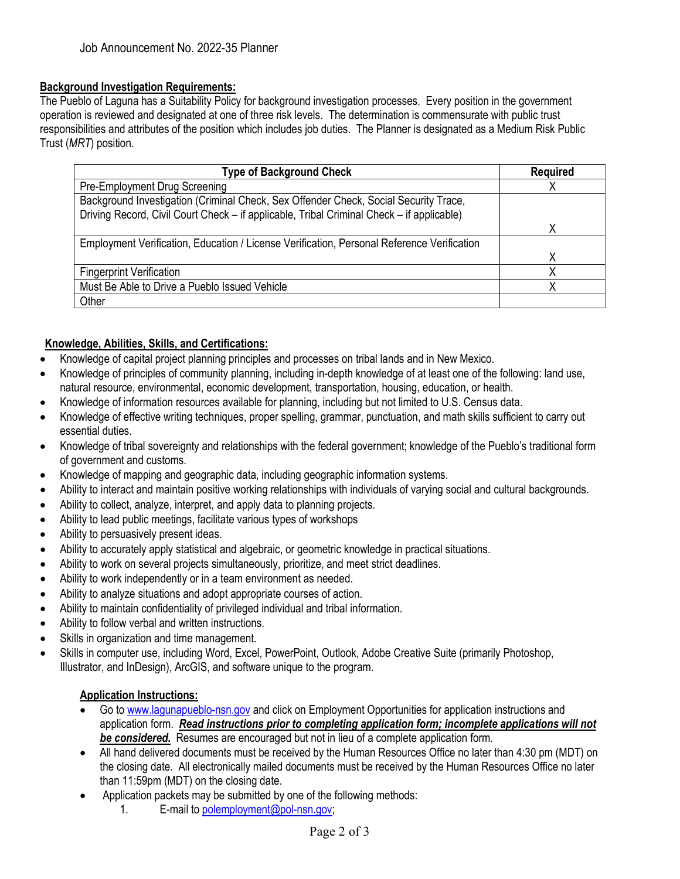### **Background Investigation Requirements:**

The Pueblo of Laguna has a Suitability Policy for background investigation processes. Every position in the government operation is reviewed and designated at one of three risk levels. The determination is commensurate with public trust responsibilities and attributes of the position which includes job duties. The Planner is designated as a Medium Risk Public Trust (*MRT*) position.

| <b>Type of Background Check</b>                                                            | <b>Required</b> |
|--------------------------------------------------------------------------------------------|-----------------|
| Pre-Employment Drug Screening                                                              |                 |
| Background Investigation (Criminal Check, Sex Offender Check, Social Security Trace,       |                 |
| Driving Record, Civil Court Check – if applicable, Tribal Criminal Check – if applicable)  |                 |
|                                                                                            |                 |
| Employment Verification, Education / License Verification, Personal Reference Verification |                 |
|                                                                                            |                 |
| <b>Fingerprint Verification</b>                                                            |                 |
| Must Be Able to Drive a Pueblo Issued Vehicle                                              |                 |
| Other                                                                                      |                 |

## **Knowledge, Abilities, Skills, and Certifications:**

- Knowledge of capital project planning principles and processes on tribal lands and in New Mexico.
- Knowledge of principles of community planning, including in-depth knowledge of at least one of the following: land use, natural resource, environmental, economic development, transportation, housing, education, or health.
- Knowledge of information resources available for planning, including but not limited to U.S. Census data.
- Knowledge of effective writing techniques, proper spelling, grammar, punctuation, and math skills sufficient to carry out essential duties.
- Knowledge of tribal sovereignty and relationships with the federal government; knowledge of the Pueblo's traditional form of government and customs.
- Knowledge of mapping and geographic data, including geographic information systems.
- Ability to interact and maintain positive working relationships with individuals of varying social and cultural backgrounds.
- Ability to collect, analyze, interpret, and apply data to planning projects.
- Ability to lead public meetings, facilitate various types of workshops
- Ability to persuasively present ideas.
- Ability to accurately apply statistical and algebraic, or geometric knowledge in practical situations.
- Ability to work on several projects simultaneously, prioritize, and meet strict deadlines.
- Ability to work independently or in a team environment as needed.
- Ability to analyze situations and adopt appropriate courses of action.
- Ability to maintain confidentiality of privileged individual and tribal information.
- Ability to follow verbal and written instructions.
- Skills in organization and time management.
- Skills in computer use, including Word, Excel, PowerPoint, Outlook, Adobe Creative Suite (primarily Photoshop, Illustrator, and InDesign), ArcGIS, and software unique to the program.

#### **Application Instructions:**

- Go t[o www.lagunapueblo-nsn.gov](http://www.lagunapueblo-nsn.gov/) and click on Employment Opportunities for application instructions and application form. *Read instructions prior to completing application form; incomplete applications will not be considered.* Resumes are encouraged but not in lieu of a complete application form.
- All hand delivered documents must be received by the Human Resources Office no later than 4:30 pm (MDT) on the closing date. All electronically mailed documents must be received by the Human Resources Office no later than 11:59pm (MDT) on the closing date.
- Application packets may be submitted by one of the following methods:
	- 1. E-mail to [polemployment@pol-nsn.gov;](mailto:polemployment@pol-nsn.gov)